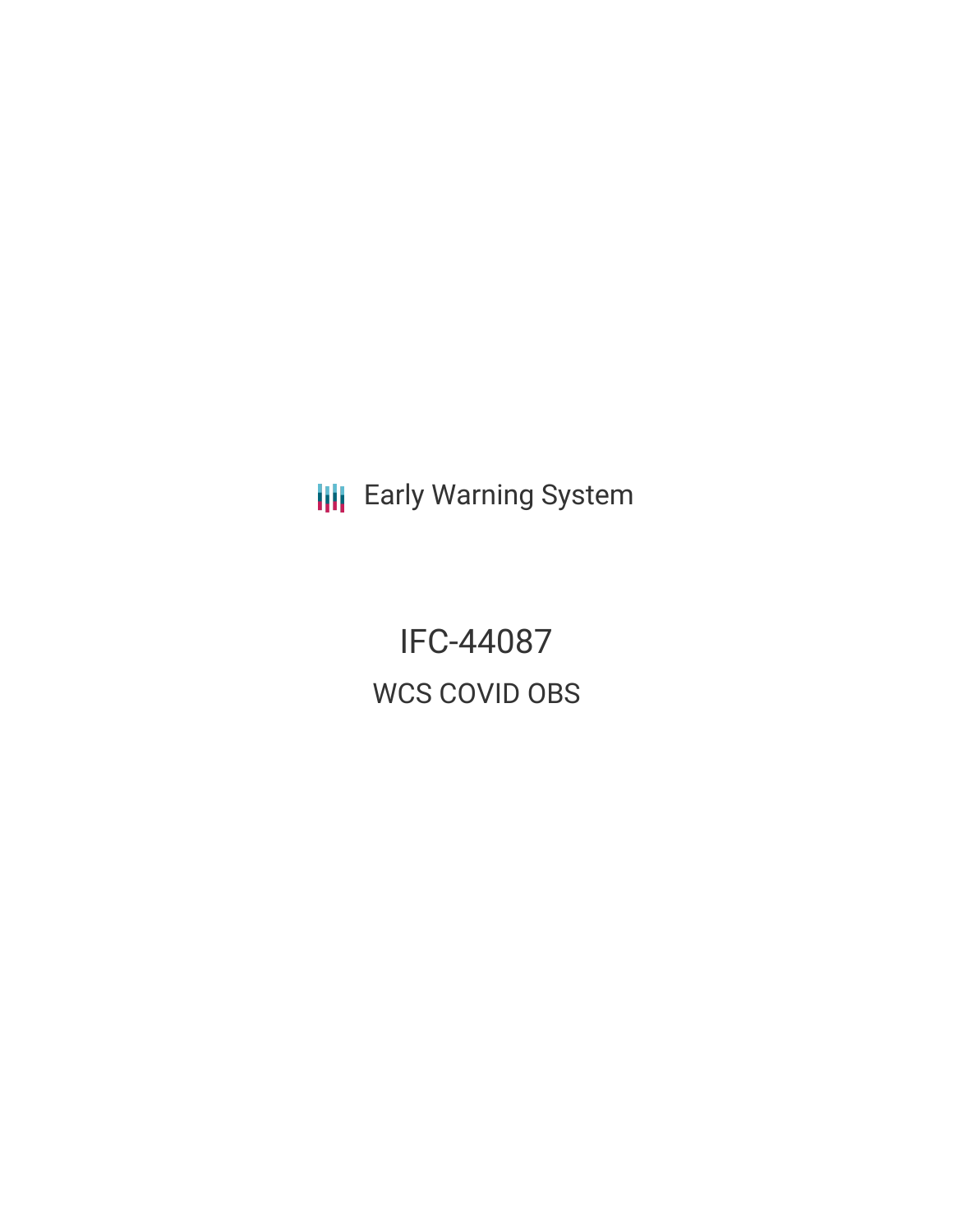**III** Early Warning System

IFC-44087 WCS COVID OBS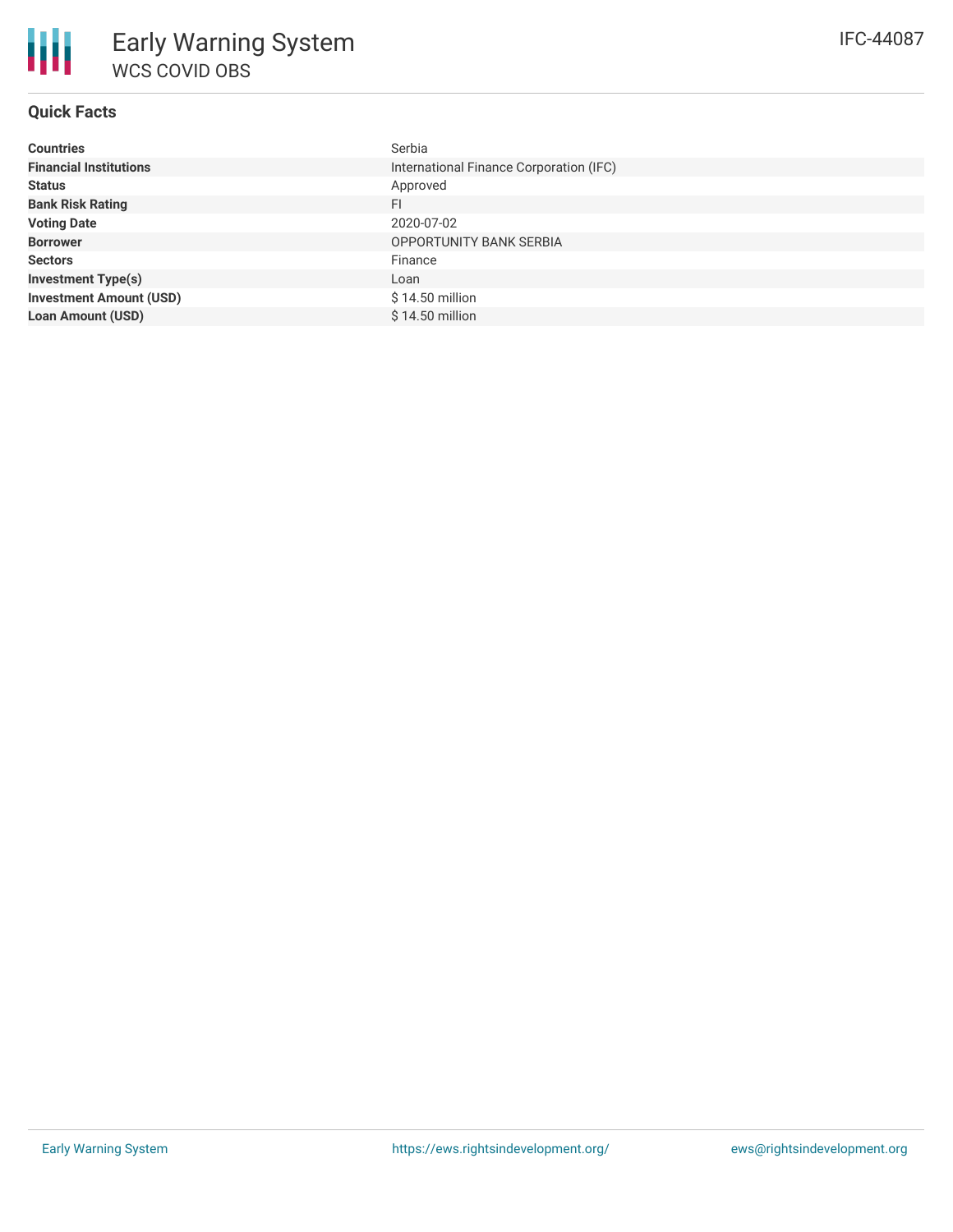| <b>Countries</b>               | Serbia                                  |
|--------------------------------|-----------------------------------------|
| <b>Financial Institutions</b>  | International Finance Corporation (IFC) |
| <b>Status</b>                  | Approved                                |
| <b>Bank Risk Rating</b>        | FI                                      |
| <b>Voting Date</b>             | 2020-07-02                              |
| <b>Borrower</b>                | <b>OPPORTUNITY BANK SERBIA</b>          |
| <b>Sectors</b>                 | Finance                                 |
| <b>Investment Type(s)</b>      | Loan                                    |
| <b>Investment Amount (USD)</b> | $$14.50$ million                        |
| <b>Loan Amount (USD)</b>       | $$14.50$ million                        |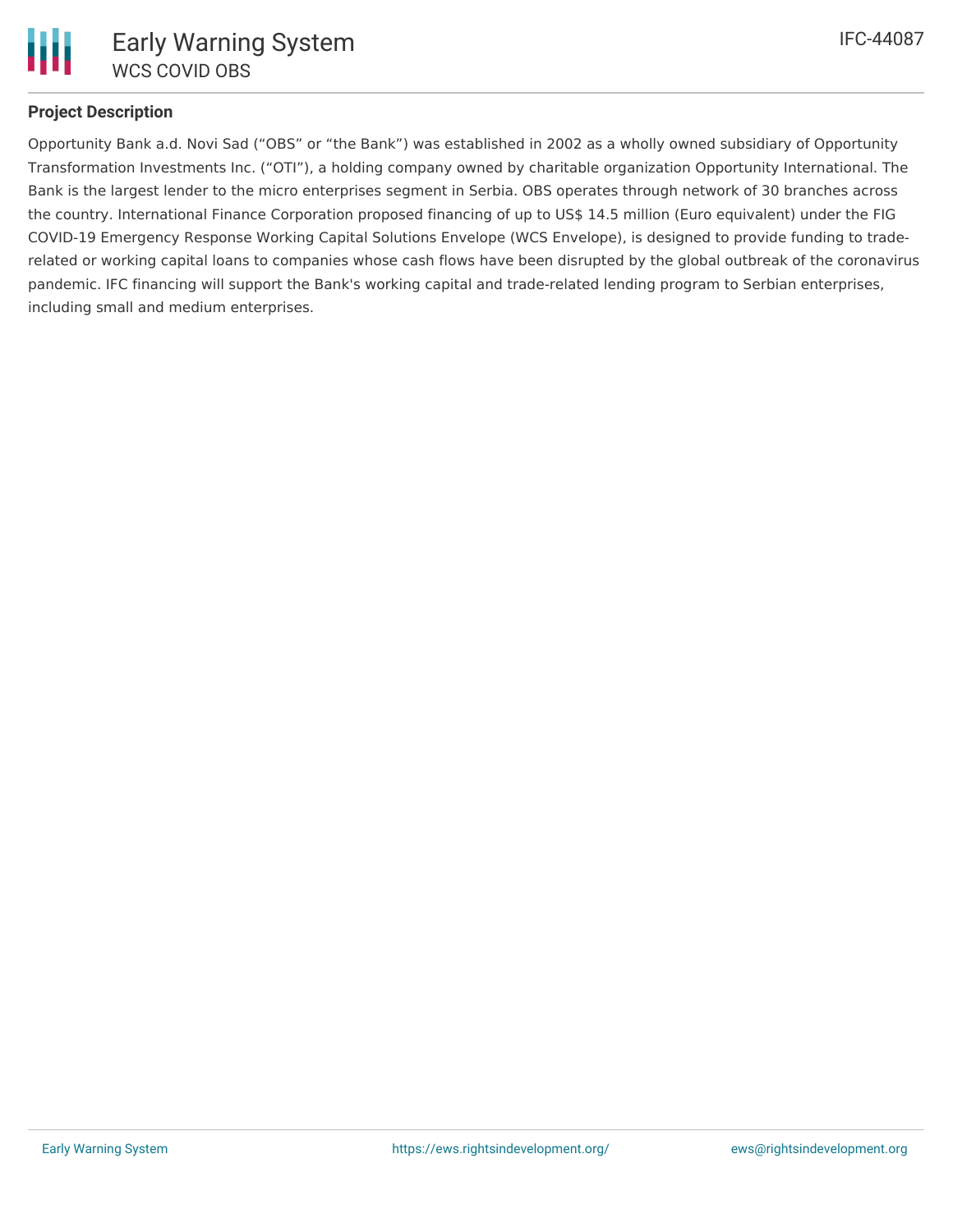

# **Project Description**

Opportunity Bank a.d. Novi Sad ("OBS" or "the Bank") was established in 2002 as a wholly owned subsidiary of Opportunity Transformation Investments Inc. ("OTI"), a holding company owned by charitable organization Opportunity International. The Bank is the largest lender to the micro enterprises segment in Serbia. OBS operates through network of 30 branches across the country. International Finance Corporation proposed financing of up to US\$ 14.5 million (Euro equivalent) under the FIG COVID-19 Emergency Response Working Capital Solutions Envelope (WCS Envelope), is designed to provide funding to traderelated or working capital loans to companies whose cash flows have been disrupted by the global outbreak of the coronavirus pandemic. IFC financing will support the Bank's working capital and trade-related lending program to Serbian enterprises, including small and medium enterprises.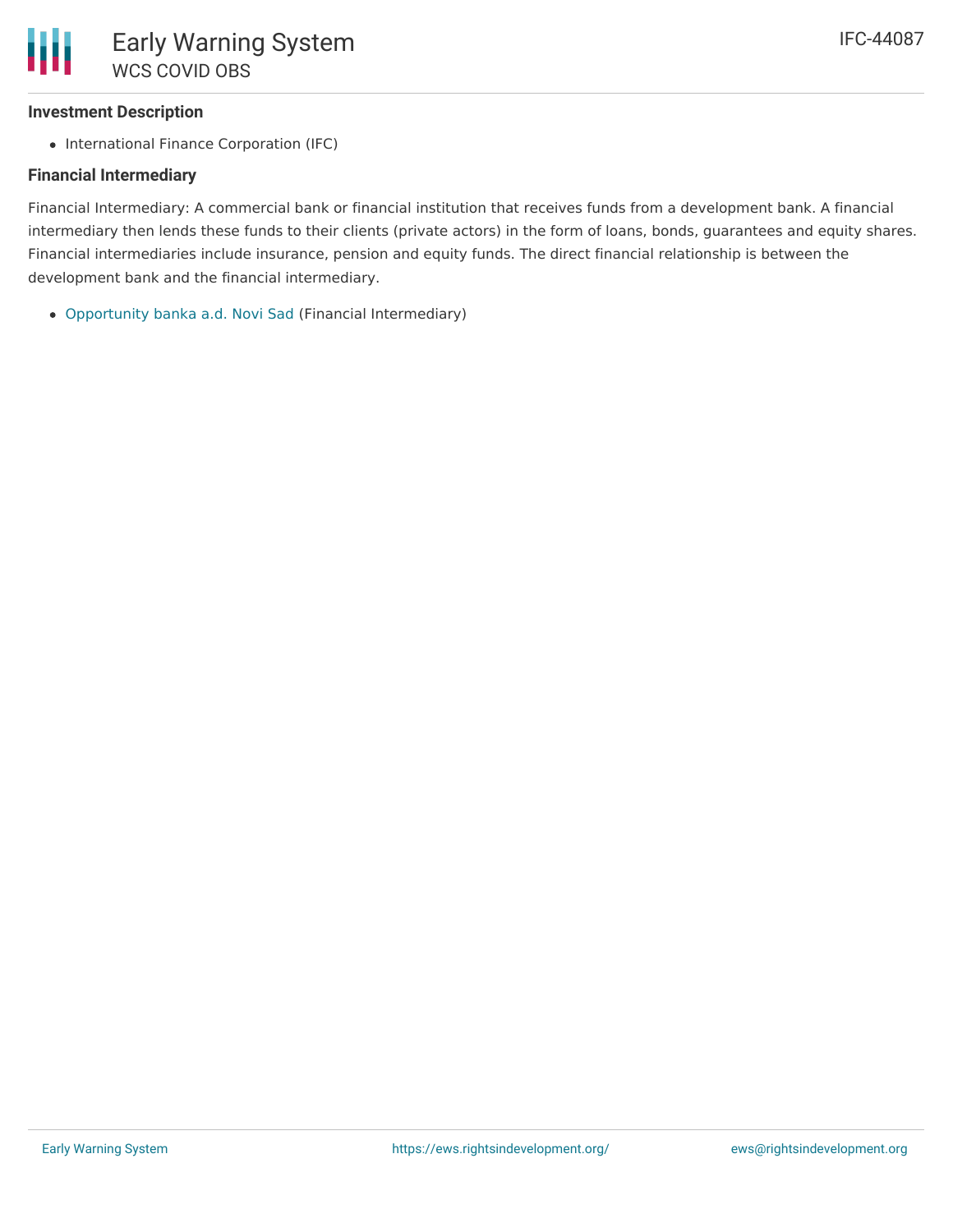### **Investment Description**

• International Finance Corporation (IFC)

# **Financial Intermediary**

Financial Intermediary: A commercial bank or financial institution that receives funds from a development bank. A financial intermediary then lends these funds to their clients (private actors) in the form of loans, bonds, guarantees and equity shares. Financial intermediaries include insurance, pension and equity funds. The direct financial relationship is between the development bank and the financial intermediary.

[Opportunity](file:///actor/1254/) banka a.d. Novi Sad (Financial Intermediary)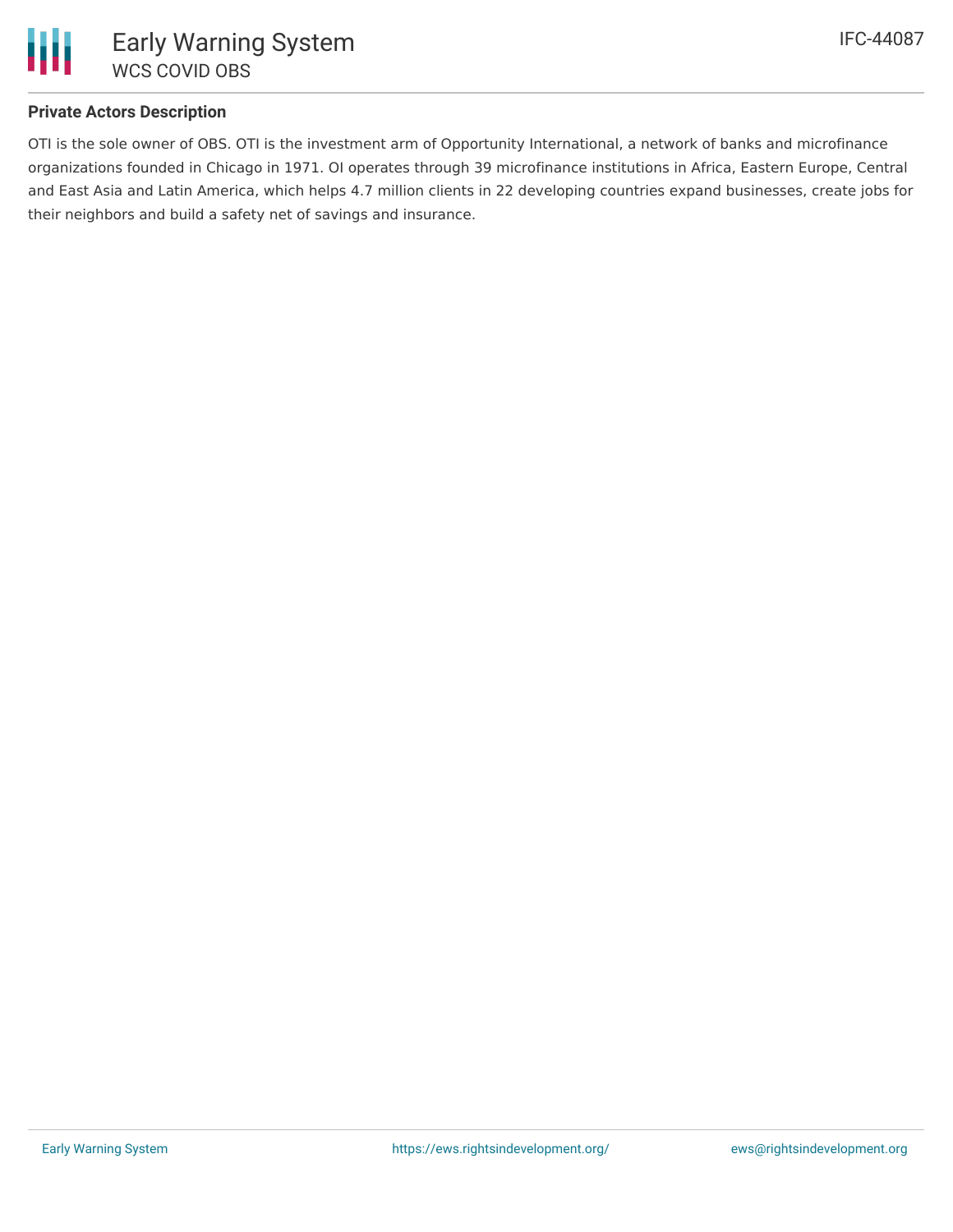

# **Private Actors Description**

OTI is the sole owner of OBS. OTI is the investment arm of Opportunity International, a network of banks and microfinance organizations founded in Chicago in 1971. OI operates through 39 microfinance institutions in Africa, Eastern Europe, Central and East Asia and Latin America, which helps 4.7 million clients in 22 developing countries expand businesses, create jobs for their neighbors and build a safety net of savings and insurance.